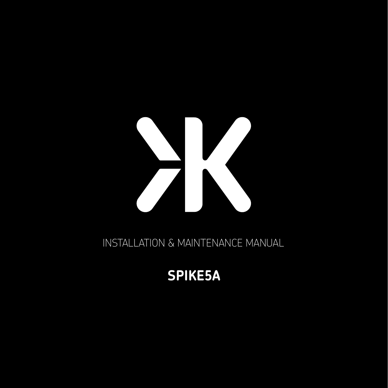INSTALLATION & MAINTENANCE MANUAL

# **SPIKE5A**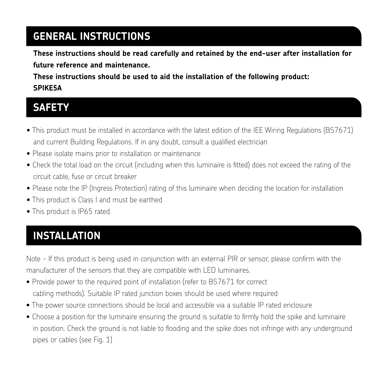#### **GENERAL INSTRUCTIONS**

**These instructions should be read carefully and retained by the end-user after installation for future reference and maintenance.** 

**These instructions should be used to aid the installation of the following product: SPIKE5A** 

#### **SAFETY**

- This product must be installed in accordance with the latest edition of the IEE Wiring Regulations (BS7671) and current Building Regulations. If in any doubt, consult a qualified electrician
- Please isolate mains prior to installation or maintenance
- Check the total load on the circuit (including when this luminaire is fitted) does not exceed the rating of the circuit cable, fuse or circuit breaker
- Please note the IP (Ingress Protection) rating of this luminaire when deciding the location for installation
- This product is Class I and must be earthed
- This product is IP65 rated

## **INSTALLATION**

Note - If this product is being used in conjunction with an external PIR or sensor, please confirm with the manufacturer of the sensors that they are compatible with LED luminaires.

- Provide power to the required point of installation (refer to BS7671 for correct cabling methods). Suitable IP rated junction boxes should be used where required
- The power source connections should be local and accessible via a suitable IP rated enclosure
- Choose a position for the luminaire ensuring the ground is suitable to firmly hold the spike and luminaire in position. Check the ground is not liable to flooding and the spike does not infringe with any underground pipes or cables (see Fig. 1)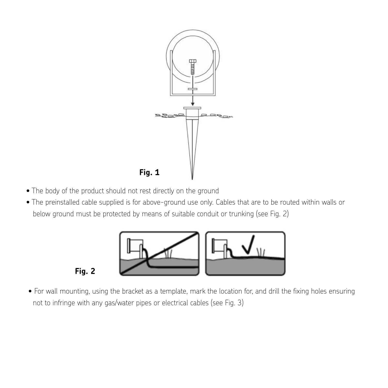

- The body of the product should not rest directly on the ground
- $\bullet$  The preinstalled cable supplied is for above-ground use only. Cables that are to be routed within walls or below ground must be protected by means of suitable conduit or trunking (see Fig. 2)



- **Fig. 2**
- For wall mounting, using the bracket as a template, mark the location for, and drill the fixing holes ensuring Fig. 2 not to infringe with any gas/water pipes or electrical cables (see Fig. 3)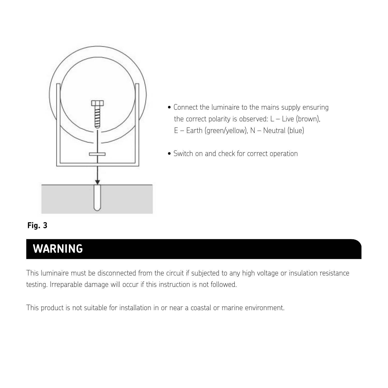

- Connect the luminaire to the mains supply ensuring the correct polarity is observed:  $L -$  Live (brown), E – Earth (green/yellow), N – Neutral (blue)
- Switch on and check for correct operation

#### **Fig. 3**

#### **WARNING** • Connect the luminaire to the mains supply ensuring the correct polarity is observed: L – Live (brown),

This luminaire must be disconnected from the circuit if subjected to any high voltage or insulation resistance testing. Irreparable damage will occur if this instruction is not followed.

This product is not suitable for installation in or near a coastal or marine environment.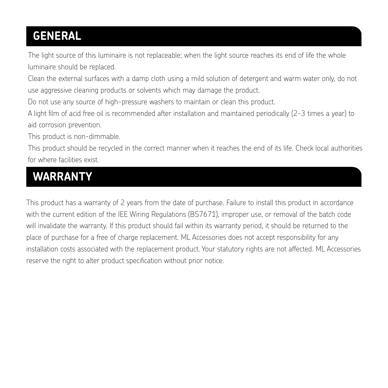# **GENERAL**

The light source of this luminaire is not replaceable; when the light source reaches its end of life the whole luminaire should be replaced.

Clean the external surfaces with a damp cloth using a mild solution of detergent and warm water only, do not use aggressive cleaning products or solvents which may damage the product.

Do not use any source of high-pressure washers to maintain or clean this product.

A light film of acid free oil is recommended after installation and maintained periodically (2-3 times a year) to aid corrosion prevention.

This product is non-dimmable.

This product should be recycled in the correct manner when it reaches the end of its life. Check local authorities for where facilities exist.

## **WARRANTY**

This product has a warranty of 2 years from the date of purchase. Failure to install this product in accordance with the current edition of the IEE Wiring Regulations (BS7671), improper use, or removal of the batch code will invalidate the warranty. If this product should fail within its warranty period, it should be returned to the place of purchase for a free of charge replacement. ML Accessories does not accept responsibility for any installation costs associated with the replacement product. Your statutory rights are not affected. ML Accessories reserve the right to alter product specification without prior notice.